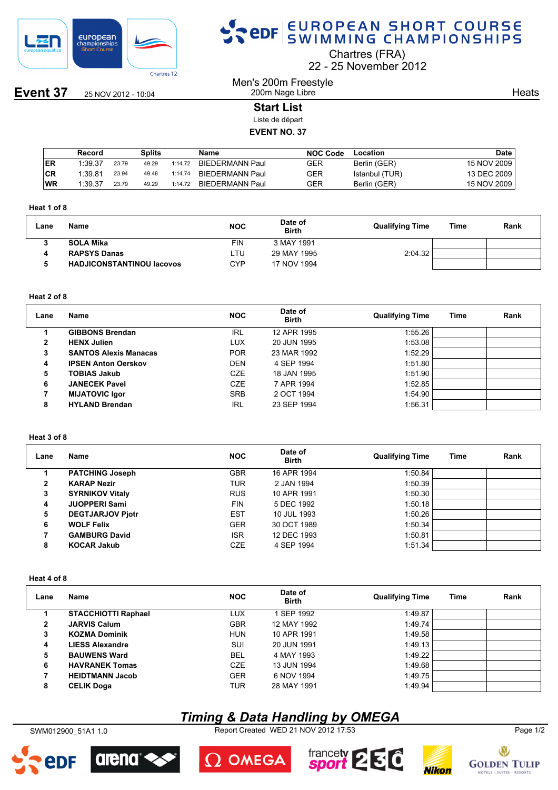

**Event 37** 25 NOV 2012 - 10:04

# SPOR EUROPEAN SHORT COURSE

Chartres (FRA)

22 25 November 2012

Men's 200m Freestyle 200m Nage Libre

**Heats** 

# **Start List**

Liste de départ

## **EVENT NO. 37**

|     | Record  |       | Splits |         | Name                   | <b>NOC Code</b> | Location       | Date        |
|-----|---------|-------|--------|---------|------------------------|-----------------|----------------|-------------|
| IER | 1:39.37 | 23.79 | 49.29  | 1:14.72 | <b>BIEDERMANN Paul</b> | GER             | Berlin (GER)   | 15 NOV 2009 |
| ∣CR | 1:39.81 | 23.94 | 49.48  | 1:14.74 | BIEDERMANN Paul        | GER             | Istanbul (TUR) | 13 DEC 2009 |
| WR  | 1:39.37 | 23.79 | 49.29  | 1:14.72 | BIEDERMANN Paul        | GER             | Berlin (GER)   | 15 NOV 2009 |

#### **Heat 1 of 8**

| Lane | Name                             | <b>NOC</b> | Date of<br><b>Birth</b> | <b>Qualifying Time</b> | Time | Rank |
|------|----------------------------------|------------|-------------------------|------------------------|------|------|
|      | <b>SOLA Mika</b>                 | FIN        | 3 MAY 1991              |                        |      |      |
|      | <b>RAPSYS Danas</b>              | LTU        | 29 MAY 1995             | 2:04.32                |      |      |
|      | <b>HADJICONSTANTINOU Iacovos</b> | CYP        | 17 NOV 1994             |                        |      |      |

#### **Heat 2 of 8**

| Lane         | Name                         | <b>NOC</b> | Date of<br><b>Birth</b> | <b>Qualifying Time</b> | Time | Rank |
|--------------|------------------------------|------------|-------------------------|------------------------|------|------|
|              | <b>GIBBONS Brendan</b>       | <b>IRL</b> | 12 APR 1995             | 1:55.26                |      |      |
| $\mathbf{2}$ | <b>HENX Julien</b>           | LUX        | 20 JUN 1995             | 1:53.08                |      |      |
| 3            | <b>SANTOS Alexis Manacas</b> | <b>POR</b> | 23 MAR 1992             | 1:52.29                |      |      |
| 4            | <b>IPSEN Anton Oerskov</b>   | <b>DEN</b> | 4 SEP 1994              | 1:51.80                |      |      |
| 5            | <b>TOBIAS Jakub</b>          | <b>CZE</b> | 18 JAN 1995             | 1:51.90                |      |      |
| 6            | <b>JANECEK Pavel</b>         | <b>CZE</b> | 7 APR 1994              | 1:52.85                |      |      |
|              | <b>MIJATOVIC Igor</b>        | <b>SRB</b> | 2 OCT 1994              | 1:54.90                |      |      |
| 8            | <b>HYLAND Brendan</b>        | <b>IRL</b> | 23 SEP 1994             | 1:56.31                |      |      |

## **Heat 3 of 8**

| Lane         | Name                    | <b>NOC</b> | Date of<br><b>Birth</b> | <b>Qualifying Time</b> | Time | Rank |
|--------------|-------------------------|------------|-------------------------|------------------------|------|------|
|              | <b>PATCHING Joseph</b>  | <b>GBR</b> | 16 APR 1994             | 1:50.84                |      |      |
| $\mathbf{2}$ | <b>KARAP Nezir</b>      | TUR        | 2 JAN 1994              | 1:50.39                |      |      |
| 3            | <b>SYRNIKOV Vitaly</b>  | <b>RUS</b> | 10 APR 1991             | 1:50.30                |      |      |
| 4            | <b>JUOPPERI Sami</b>    | <b>FIN</b> | 5 DEC 1992              | 1:50.18                |      |      |
| 5            | <b>DEGTJARJOV Pjotr</b> | <b>EST</b> | 10 JUL 1993             | 1:50.26                |      |      |
| 6            | <b>WOLF Felix</b>       | <b>GER</b> | 30 OCT 1989             | 1:50.34                |      |      |
|              | <b>GAMBURG David</b>    | <b>ISR</b> | 12 DEC 1993             | 1:50.81                |      |      |
| 8            | <b>KOCAR Jakub</b>      | CZE        | 4 SEP 1994              | 1:51.34                |      |      |

### **Heat 4 of 8**

| Lane         | Name                       | <b>NOC</b> | Date of<br><b>Birth</b> | <b>Qualifying Time</b> | Time | Rank |
|--------------|----------------------------|------------|-------------------------|------------------------|------|------|
|              | <b>STACCHIOTTI Raphael</b> | LUX        | SEP 1992                | 1:49.87                |      |      |
| $\mathbf{2}$ | <b>JARVIS Calum</b>        | <b>GBR</b> | 12 MAY 1992             | 1:49.74                |      |      |
| 3            | <b>KOZMA Dominik</b>       | <b>HUN</b> | 10 APR 1991             | 1:49.58                |      |      |
| 4            | <b>LIESS Alexandre</b>     | SUI        | 20 JUN 1991             | 1:49.13                |      |      |
| 5            | <b>BAUWENS Ward</b>        | <b>BEL</b> | 4 MAY 1993              | 1:49.22                |      |      |
| 6            | <b>HAVRANEK Tomas</b>      | CZE        | 13 JUN 1994             | 1:49.68                |      |      |
|              | <b>HEIDTMANN Jacob</b>     | <b>GER</b> | 6 NOV 1994              | 1:49.75                |      |      |
| 8            | <b>CELIK Doga</b>          | TUR        | 28 MAY 1991             | 1:49.94                |      |      |

# *Timing & Data Handling by OMEGA*

SWM012900\_51A1 1.0 Report Created WED 21 NOV 2012 17:53 Page 1/2